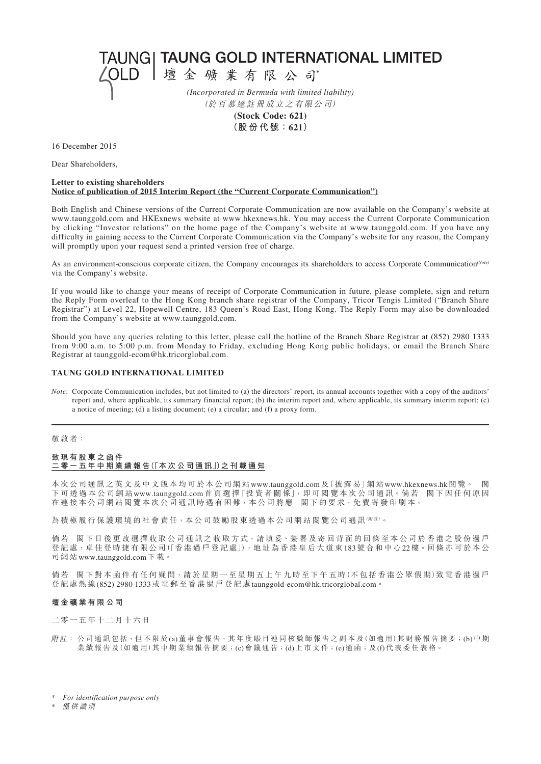TAUNG| TAUNG GOLD INTERNATIONAL LIMITED

△OLD |壇金礦業有限公司

*(Incorporated in Bermuda with limited liability)* (於 百 慕 達 註 冊 成 立 之 有 限 公 司)

> **(Stock Code: 621) (股 份 代 號:621)**

16 December 2015

Dear Shareholders,

## **Letter to existing shareholders Notice of publication of 2015 Interim Report (the "Current Corporate Communication")**

Both English and Chinese versions of the Current Corporate Communication are now available on the Company's website at www.taunggold.com and HKExnews website at www.hkexnews.hk. You may access the Current Corporate Communication by clicking "Investor relations" on the home page of the Company's website at www.taunggold.com. If you have any difficulty in gaining access to the Current Corporate Communication via the Company's website for any reason, the Company will promptly upon your request send a printed version free of charge.

As an environment-conscious corporate citizen, the Company encourages its shareholders to access Corporate Communication*(Note)* via the Company's website.

If you would like to change your means of receipt of Corporate Communication in future, please complete, sign and return the Reply Form overleaf to the Hong Kong branch share registrar of the Company, Tricor Tengis Limited ("Branch Share Registrar") at Level 22, Hopewell Centre, 183 Queen's Road East, Hong Kong. The Reply Form may also be downloaded from the Company's website at www.taunggold.com.

Should you have any queries relating to this letter, please call the hotline of the Branch Share Registrar at (852) 2980 1333 from 9:00 a.m. to 5:00 p.m. from Monday to Friday, excluding Hong Kong public holidays, or email the Branch Share Registrar at taunggold-ecom@hk.tricorglobal.com.

# **TAUNG GOLD INTERNATIONAL LIMITED**

*Note*: Corporate Communication includes, but not limited to (a) the directors' report, its annual accounts together with a copy of the auditors' report and, where applicable, its summary financial report; (b) the interim report and, where applicable, its summary interim report; (c) a notice of meeting; (d) a listing document; (e) a circular; and (f) a proxy form.

### 敬 啟 者:

#### **致 現 有 股 東 之 函 件 二 零 一 五 年 中 期 業 績 報 告(「本 次 公 司 通 訊」)之 刊 載 通 知**

本次公司通訊之英文及中文版本均可於本公司網站www.taunggold.com及「披露易」網站www.hkexnews.hk閲覽。 下 可 透 過 本 公 司 網 站 www.taunggold.com 首 頁 選 擇 「投 資 者 關 係」, 即 可 閲 覽 本 次 公 司 通 訊 。倘 若 閣 下 因 任 何 原 因 在連接本公司網站閱覽本次公司通訊時遇有困難,本公司將應 閣下的要求,免費寄發印刷本。

為積極履行保護環境的社會責任,本公司鼓勵股東透過本公司網站閲覽公司通訊(#註)。

倘若 閣下日後更改選擇收取公司通訊之收取方式,請填妥、簽署及寄回背面的回條至本公司於香港之股份過戶 登記處,卓佳登時捷有限公司(「香港過戶登記處」),地址為香港皇后大道東183號合和中心22樓。回條亦可於本公 司 網 站www.taunggold.com下 載。

倘若 閣下對本函件有任何疑問,請於星期一至星期五上午九時至下午五時(不包括香港公眾假期)致電香港過戶 登記處熱線(852) 2980 1333或電郵至香港過戶登記處taunggold-ecom@hk.tricorglobal.com。

#### **壇 金 礦 業 有 限 公 司**

二 零 一 五 年 十 二 月 十 六 日

附註: 公司通訊包括,但不限於(a)董事會報告,其年度賬目連同核數師報告之副本及(如適用)其財務報告摘要;(b)中期 業績報告 及(如適用)其中期業績報告摘要;(c)會議通告;(d)上市文件;(e)通函;及(f)代表委任表格。

僅 供 識 別

<sup>\*</sup> *For identification purpose only*